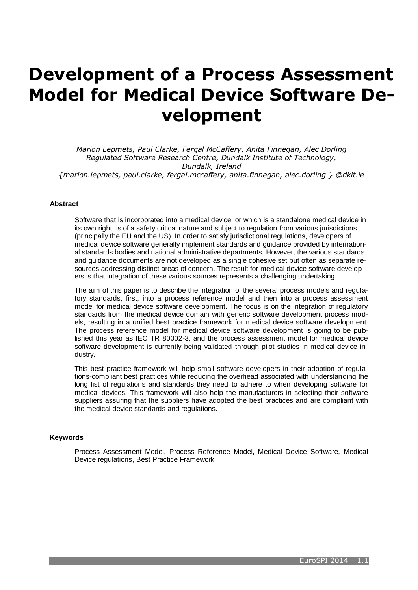# **Development of a Process Assessment Model for Medical Device Software Development**

*Marion Lepmets, Paul Clarke, Fergal McCaffery, Anita Finnegan, Alec Dorling Regulated Software Research Centre, Dundalk Institute of Technology, Dundalk, Ireland {marion.lepmets, paul.clarke, fergal.mccaffery, anita.finnegan, alec.dorling } @dkit.ie*

### **Abstract**

Software that is incorporated into a medical device, or which is a standalone medical device in its own right, is of a safety critical nature and subject to regulation from various jurisdictions (principally the EU and the US). In order to satisfy jurisdictional regulations, developers of medical device software generally implement standards and guidance provided by international standards bodies and national administrative departments. However, the various standards and guidance documents are not developed as a single cohesive set but often as separate resources addressing distinct areas of concern. The result for medical device software developers is that integration of these various sources represents a challenging undertaking.

The aim of this paper is to describe the integration of the several process models and regulatory standards, first, into a process reference model and then into a process assessment model for medical device software development. The focus is on the integration of regulatory standards from the medical device domain with generic software development process models, resulting in a unified best practice framework for medical device software development. The process reference model for medical device software development is going to be published this year as IEC TR 80002-3, and the process assessment model for medical device software development is currently being validated through pilot studies in medical device industry.

This best practice framework will help small software developers in their adoption of regulations-compliant best practices while reducing the overhead associated with understanding the long list of regulations and standards they need to adhere to when developing software for medical devices. This framework will also help the manufacturers in selecting their software suppliers assuring that the suppliers have adopted the best practices and are compliant with the medical device standards and regulations.

#### **Keywords**

Process Assessment Model, Process Reference Model, Medical Device Software, Medical Device regulations, Best Practice Framework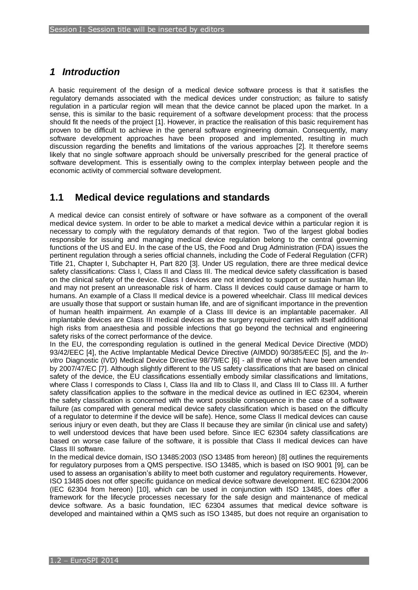# *1 Introduction*

A basic requirement of the design of a medical device software process is that it satisfies the regulatory demands associated with the medical devices under construction; as failure to satisfy regulation in a particular region will mean that the device cannot be placed upon the market. In a sense, this is similar to the basic requirement of a software development process: that the process should fit the needs of the project [\[1\]](#page-7-0). However, in practice the realisation of this basic requirement has proven to be difficult to achieve in the general software engineering domain. Consequently, many software development approaches have been proposed and implemented, resulting in much discussion regarding the benefits and limitations of the various approaches [\[2\]](#page-7-1). It therefore seems likely that no single software approach should be universally prescribed for the general practice of software development. This is essentially owing to the complex interplay between people and the economic activity of commercial software development.

### **1.1 Medical device regulations and standards**

A medical device can consist entirely of software or have software as a component of the overall medical device system. In order to be able to market a medical device within a particular region it is necessary to comply with the regulatory demands of that region. Two of the largest global bodies responsible for issuing and managing medical device regulation belong to the central governing functions of the US and EU. In the case of the US, the Food and Drug Administration (FDA) issues the pertinent regulation through a series official channels, including the Code of Federal Regulation (CFR) Title 21, Chapter I, Subchapter H, Part 820 [\[3\]](#page-7-2). Under US regulation, there are three medical device safety classifications: Class I, Class II and Class III. The medical device safety classification is based on the clinical safety of the device. Class I devices are not intended to support or sustain human life, and may not present an unreasonable risk of harm. Class II devices could cause damage or harm to humans. An example of a Class II medical device is a powered wheelchair. Class III medical devices are usually those that support or sustain human life, and are of significant importance in the prevention of human health impairment. An example of a Class III device is an implantable pacemaker. All implantable devices are Class III medical devices as the surgery required carries with itself additional high risks from anaesthesia and possible infections that go beyond the technical and engineering safety risks of the correct performance of the device.

In the EU, the corresponding regulation is outlined in the general Medical Device Directive (MDD) 93/42/EEC [\[4\]](#page-7-3), the Active Implantable Medical Device Directive (AIMDD) 90/385/EEC [\[5\]](#page-7-4), and the *Invitro* Diagnostic (IVD) Medical Device Directive 98/79/EC [\[6\]](#page-7-5) - all three of which have been amended by 2007/47/EC [\[7\]](#page-7-6). Although slightly different to the US safety classifications that are based on clinical safety of the device, the EU classifications essentially embody similar classifications and limitations, where Class I corresponds to Class I, Class IIa and IIb to Class II, and Class III to Class III. A further safety classification applies to the software in the medical device as outlined in IEC 62304, wherein the safety classification is concerned with the worst possible consequence in the case of a software failure (as compared with general medical device safety classification which is based on the difficulty of a regulator to determine if the device will be safe). Hence, some Class II medical devices can cause serious injury or even death, but they are Class II because they are similar (in clinical use and safety) to well understood devices that have been used before. Since IEC 62304 safety classifications are based on worse case failure of the software, it is possible that Class II medical devices can have Class III software.

In the medical device domain, ISO 13485:2003 (ISO 13485 from hereon) [\[8\]](#page-7-7) outlines the requirements for regulatory purposes from a QMS perspective. ISO 13485, which is based on ISO 9001 [\[9\]](#page-7-8), can be used to assess an organisation's ability to meet both customer and regulatory requirements. However, ISO 13485 does not offer specific guidance on medical device software development. IEC 62304:2006 (IEC 62304 from hereon) [\[10\]](#page-7-9), which can be used in conjunction with ISO 13485, does offer a framework for the lifecycle processes necessary for the safe design and maintenance of medical device software. As a basic foundation, IEC 62304 assumes that medical device software is developed and maintained within a QMS such as ISO 13485, but does not require an organisation to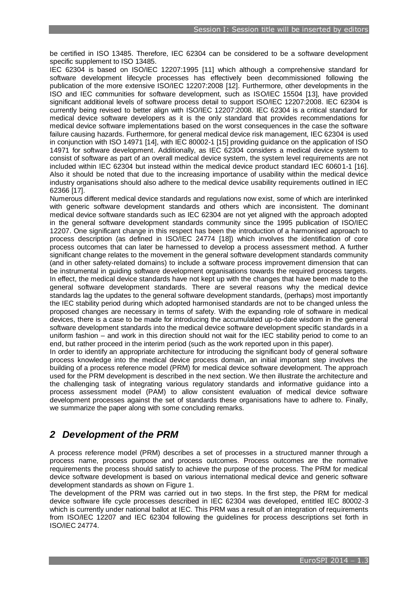be certified in ISO 13485. Therefore, IEC 62304 can be considered to be a software development specific supplement to ISO 13485.

IEC 62304 is based on ISO/IEC 12207:1995 [\[11\]](#page-7-10) which although a comprehensive standard for software development lifecycle processes has effectively been decommissioned following the publication of the more extensive ISO/IEC 12207:2008 [\[12\]](#page-7-11). Furthermore, other developments in the ISO and IEC communities for software development, such as ISO/IEC 15504 [\[13\]](#page-7-12), have provided significant additional levels of software process detail to support ISO/IEC 12207:2008. IEC 62304 is currently being revised to better align with ISO/IEC 12207:2008. IEC 62304 is a critical standard for medical device software developers as it is the only standard that provides recommendations for medical device software implementations based on the worst consequences in the case the software failure causing hazards. Furthermore, for general medical device risk management, IEC 62304 is used in conjunction with ISO 14971 [\[14\]](#page-7-13), with IEC 80002-1 [\[15\]](#page-7-14) providing guidance on the application of ISO 14971 for software development. Additionally, as IEC 62304 considers a medical device system to consist of software as part of an overall medical device system, the system level requirements are not included within IEC 62304 but instead within the medical device product standard IEC 60601-1 [\[16\]](#page-7-15). Also it should be noted that due to the increasing importance of usability within the medical device industry organisations should also adhere to the medical device usability requirements outlined in IEC 62366 [\[17\]](#page-7-16).

Numerous different medical device standards and regulations now exist, some of which are interlinked with generic software development standards and others which are inconsistent. The dominant medical device software standards such as IEC 62304 are not yet aligned with the approach adopted in the general software development standards community since the 1995 publication of ISO/IEC 12207. One significant change in this respect has been the introduction of a harmonised approach to process description (as defined in ISO/IEC 24774 [\[18\]](#page-7-17)) which involves the identification of core process outcomes that can later be harnessed to develop a process assessment method. A further significant change relates to the movement in the general software development standards community (and in other safety-related domains) to include a software process improvement dimension that can be instrumental in guiding software development organisations towards the required process targets. In effect, the medical device standards have not kept up with the changes that have been made to the general software development standards. There are several reasons why the medical device standards lag the updates to the general software development standards, (perhaps) most importantly the IEC stability period during which adopted harmonised standards are not to be changed unless the proposed changes are necessary in terms of safety. With the expanding role of software in medical devices, there is a case to be made for introducing the accumulated up-to-date wisdom in the general software development standards into the medical device software development specific standards in a uniform fashion – and work in this direction should not wait for the IEC stability period to come to an end, but rather proceed in the interim period (such as the work reported upon in this paper).

In order to identify an appropriate architecture for introducing the significant body of general software process knowledge into the medical device process domain, an initial important step involves the building of a process reference model (PRM) for medical device software development. The approach used for the PRM development is described in the next section. We then illustrate the architecture and the challenging task of integrating various regulatory standards and informative guidance into a process assessment model (PAM) to allow consistent evaluation of medical device software development processes against the set of standards these organisations have to adhere to. Finally, we summarize the paper along with some concluding remarks.

# *2 Development of the PRM*

A process reference model (PRM) describes a set of processes in a structured manner through a process name, process purpose and process outcomes. Process outcomes are the normative requirements the process should satisfy to achieve the purpose of the process. The PRM for medical device software development is based on various international medical device and generic software development standards as shown on Figure 1.

The development of the PRM was carried out in two steps. In the first step, the PRM for medical device software life cycle processes described in IEC 62304 was developed, entitled IEC 80002-3 which is currently under national ballot at IEC. This PRM was a result of an integration of requirements from ISO/IEC 12207 and IEC 62304 following the guidelines for process descriptions set forth in ISO/IEC 24774.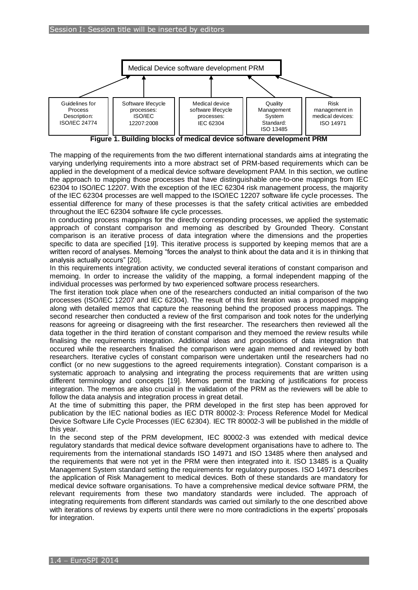

**Figure 1. Building blocks of medical device software development PRM**

The mapping of the requirements from the two different international standards aims at integrating the varying underlying requirements into a more abstract set of PRM-based requirements which can be applied in the development of a medical device software development PAM. In this section, we outline the approach to mapping those processes that have distinguishable one-to-one mappings from IEC 62304 to ISO/IEC 12207. With the exception of the IEC 62304 risk management process, the majority of the IEC 62304 processes are well mapped to the ISO/IEC 12207 software life cycle processes. The essential difference for many of these processes is that the safety critical activities are embedded throughout the IEC 62304 software life cycle processes.

In conducting process mappings for the directly corresponding processes, we applied the systematic approach of constant comparison and memoing as described by Grounded Theory. Constant comparison is an iterative process of data integration where the dimensions and the properties specific to data are specified [\[19\]](#page-7-18). This iterative process is supported by keeping memos that are a written record of analyses. Memoing "forces the analyst to think about the data and it is in thinking that analysis actually occurs" [\[20\]](#page-7-19).

In this requirements integration activity, we conducted several iterations of constant comparison and memoing. In order to increase the validity of the mapping, a formal independent mapping of the individual processes was performed by two experienced software process researchers.

The first iteration took place when one of the researchers conducted an initial comparison of the two processes (ISO/IEC 12207 and IEC 62304). The result of this first iteration was a proposed mapping along with detailed memos that capture the reasoning behind the proposed process mappings. The second researcher then conducted a review of the first comparison and took notes for the underlying reasons for agreeing or disagreeing with the first researcher. The researchers then reviewed all the data together in the third iteration of constant comparison and they memoed the review results while finalising the requirements integration. Additional ideas and propositions of data integration that occured while the researchers finalised the comparison were again memoed and reviewed by both researchers. Iterative cycles of constant comparison were undertaken until the researchers had no conflict (or no new suggestions to the agreed requirements integration). Constant comparison is a systematic approach to analysing and integrating the process requirements that are written using different terminology and concepts [19]. Memos permit the tracking of justifications for process integration. The memos are also crucial in the validation of the PRM as the reviewers will be able to follow the data analysis and integration process in great detail.

At the time of submitting this paper, the PRM developed in the first step has been approved for publication by the IEC national bodies as IEC DTR 80002-3: Process Reference Model for Medical Device Software Life Cycle Processes (IEC 62304). IEC TR 80002-3 will be published in the middle of this year.

In the second step of the PRM development, IEC 80002-3 was extended with medical device regulatory standards that medical device software development organisations have to adhere to. The requirements from the international standards ISO 14971 and ISO 13485 where then analysed and the requirements that were not yet in the PRM were then integrated into it. ISO 13485 is a Quality Management System standard setting the requirements for regulatory purposes. ISO 14971 describes the application of Risk Management to medical devices. Both of these standards are mandatory for medical device software organisations. To have a comprehensive medical device software PRM, the relevant requirements from these two mandatory standards were included. The approach of integrating requirements from different standards was carried out similarly to the one described above with iterations of reviews by experts until there were no more contradictions in the experts' proposals for integration.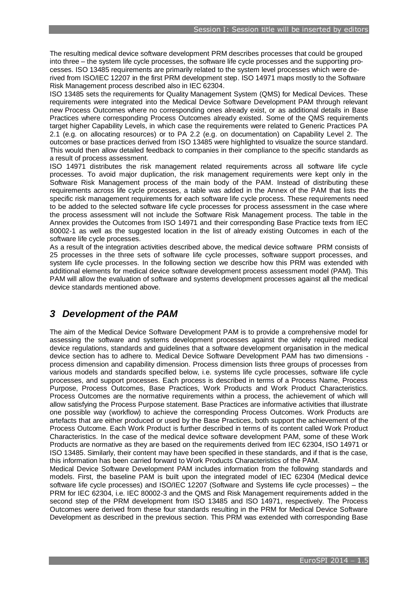The resulting medical device software development PRM describes processes that could be grouped into three – the system life cycle processes, the software life cycle processes and the supporting processes. ISO 13485 requirements are primarily related to the system level processes which were derived from ISO/IEC 12207 in the first PRM development step. ISO 14971 maps mostly to the Software Risk Management process described also in IEC 62304.

ISO 13485 sets the requirements for Quality Management System (QMS) for Medical Devices. These requirements were integrated into the Medical Device Software Development PAM through relevant new Process Outcomes where no corresponding ones already exist, or as additional details in Base Practices where corresponding Process Outcomes already existed. Some of the QMS requirements target higher Capability Levels, in which case the requirements were related to Generic Practices PA 2.1 (e.g. on allocating resources) or to PA 2.2 (e.g. on documentation) on Capability Level 2. The outcomes or base practices derived from ISO 13485 were highlighted to visualize the source standard. This would then allow detailed feedback to companies in their compliance to the specific standards as a result of process assessment.

ISO 14971 distributes the risk management related requirements across all software life cycle processes. To avoid major duplication, the risk management requirements were kept only in the Software Risk Management process of the main body of the PAM. Instead of distributing these requirements across life cycle processes, a table was added in the Annex of the PAM that lists the specific risk management requirements for each software life cycle process. These requirements need to be added to the selected software life cycle processes for process assessment in the case where the process assessment will not include the Software Risk Management process. The table in the Annex provides the Outcomes from ISO 14971 and their corresponding Base Practice texts from IEC 80002-1 as well as the suggested location in the list of already existing Outcomes in each of the software life cycle processes.

As a result of the integration activities described above, the medical device software PRM consists of 25 processes in the three sets of software life cycle processes, software support processes, and system life cycle processes. In the following section we describe how this PRM was extended with additional elements for medical device software development process assessment model (PAM). This PAM will allow the evaluation of software and systems development processes against all the medical device standards mentioned above.

### *3 Development of the PAM*

The aim of the Medical Device Software Development PAM is to provide a comprehensive model for assessing the software and systems development processes against the widely required medical device regulations, standards and guidelines that a software development organisation in the medical device section has to adhere to. Medical Device Software Development PAM has two dimensions process dimension and capability dimension. Process dimension lists three groups of processes from various models and standards specified below, i.e. systems life cycle processes, software life cycle processes, and support processes. Each process is described in terms of a Process Name, Process Purpose, Process Outcomes, Base Practices, Work Products and Work Product Characteristics. Process Outcomes are the normative requirements within a process, the achievement of which will allow satisfying the Process Purpose statement. Base Practices are informative activities that illustrate one possible way (workflow) to achieve the corresponding Process Outcomes. Work Products are artefacts that are either produced or used by the Base Practices, both support the achievement of the Process Outcome. Each Work Product is further described in terms of its content called Work Product Characteristics. In the case of the medical device software development PAM, some of these Work Products are normative as they are based on the requirements derived from IEC 62304, ISO 14971 or ISO 13485. Similarly, their content may have been specified in these standards, and if that is the case, this information has been carried forward to Work Products Characteristics of the PAM.

Medical Device Software Development PAM includes information from the following standards and models. First, the baseline PAM is built upon the integrated model of IEC 62304 (Medical device software life cycle processes) and ISO/IEC 12207 (Software and Systems life cycle processes) – the PRM for IEC 62304, i.e. IEC 80002-3 and the QMS and Risk Management requirements added in the second step of the PRM development from ISO 13485 and ISO 14971, respectively. The Process Outcomes were derived from these four standards resulting in the PRM for Medical Device Software Development as described in the previous section. This PRM was extended with corresponding Base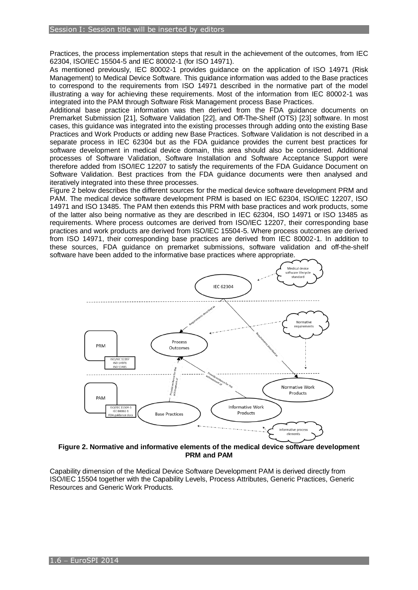Practices, the process implementation steps that result in the achievement of the outcomes, from IEC 62304, ISO/IEC 15504-5 and IEC 80002-1 (for ISO 14971).

As mentioned previously, IEC 80002-1 provides guidance on the application of ISO 14971 (Risk Management) to Medical Device Software. This guidance information was added to the Base practices to correspond to the requirements from ISO 14971 described in the normative part of the model illustrating a way for achieving these requirements. Most of the information from IEC 80002-1 was integrated into the PAM through Software Risk Management process Base Practices.

Additional base practice information was then derived from the FDA guidance documents on Premarket Submission [\[21\]](#page-7-20), Software Validation [\[22\]](#page-7-21), and Off-The-Shelf (OTS) [\[23\]](#page-7-22) software. In most cases, this guidance was integrated into the existing processes through adding onto the existing Base Practices and Work Products or adding new Base Practices. Software Validation is not described in a separate process in IEC 62304 but as the FDA guidance provides the current best practices for software development in medical device domain, this area should also be considered. Additional processes of Software Validation, Software Installation and Software Acceptance Support were therefore added from ISO/IEC 12207 to satisfy the requirements of the FDA Guidance Document on Software Validation. Best practices from the FDA guidance documents were then analysed and iteratively integrated into these three processes.

Figure 2 below describes the different sources for the medical device software development PRM and PAM. The medical device software development PRM is based on IEC 62304, ISO/IEC 12207, ISO 14971 and ISO 13485. The PAM then extends this PRM with base practices and work products, some of the latter also being normative as they are described in IEC 62304, ISO 14971 or ISO 13485 as requirements. Where process outcomes are derived from ISO/IEC 12207, their corresponding base practices and work products are derived from ISO/IEC 15504-5. Where process outcomes are derived from ISO 14971, their corresponding base practices are derived from IEC 80002-1. In addition to these sources, FDA guidance on premarket submissions, software validation and off-the-shelf software have been added to the informative base practices where appropriate.



**Figure 2. Normative and informative elements of the medical device software development PRM and PAM**

Capability dimension of the Medical Device Software Development PAM is derived directly from ISO/IEC 15504 together with the Capability Levels, Process Attributes, Generic Practices, Generic Resources and Generic Work Products.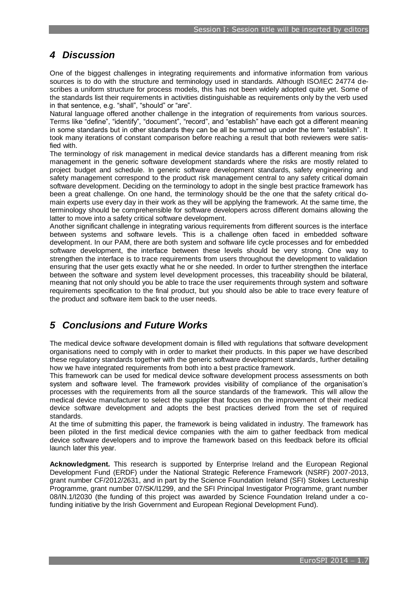# *4 Discussion*

One of the biggest challenges in integrating requirements and informative information from various sources is to do with the structure and terminology used in standards. Although ISO/IEC 24774 describes a uniform structure for process models, this has not been widely adopted quite yet. Some of the standards list their requirements in activities distinguishable as requirements only by the verb used in that sentence, e.g. "shall", "should" or "are".

Natural language offered another challenge in the integration of requirements from various sources. Terms like "define", "identify", "document", "record", and "establish" have each got a different meaning in some standards but in other standards they can be all be summed up under the term "establish". It took many iterations of constant comparison before reaching a result that both reviewers were satisfied with.

The terminology of risk management in medical device standards has a different meaning from risk management in the generic software development standards where the risks are mostly related to project budget and schedule. In generic software development standards, safety engineering and safety management correspond to the product risk management central to any safety critical domain software development. Deciding on the terminology to adopt in the single best practice framework has been a great challenge. On one hand, the terminology should be the one that the safety critical domain experts use every day in their work as they will be applying the framework. At the same time, the terminology should be comprehensible for software developers across different domains allowing the latter to move into a safety critical software development.

Another significant challenge in integrating various requirements from different sources is the interface between systems and software levels. This is a challenge often faced in embedded software development. In our PAM, there are both system and software life cycle processes and for embedded software development, the interface between these levels should be very strong. One way to strengthen the interface is to trace requirements from users throughout the development to validation ensuring that the user gets exactly what he or she needed. In order to further strengthen the interface between the software and system level development processes, this traceability should be bilateral, meaning that not only should you be able to trace the user requirements through system and software requirements specification to the final product, but you should also be able to trace every feature of the product and software item back to the user needs.

# *5 Conclusions and Future Works*

The medical device software development domain is filled with regulations that software development organisations need to comply with in order to market their products. In this paper we have described these regulatory standards together with the generic software development standards, further detailing how we have integrated requirements from both into a best practice framework.

This framework can be used for medical device software development process assessments on both system and software level. The framework provides visibility of compliance of the organisation's processes with the requirements from all the source standards of the framework. This will allow the medical device manufacturer to select the supplier that focuses on the improvement of their medical device software development and adopts the best practices derived from the set of required standards.

At the time of submitting this paper, the framework is being validated in industry. The framework has been piloted in the first medical device companies with the aim to gather feedback from medical device software developers and to improve the framework based on this feedback before its official launch later this year.

**Acknowledgment.** This research is supported by Enterprise Ireland and the European Regional Development Fund (ERDF) under the National Strategic Reference Framework (NSRF) 2007-2013, grant number CF/2012/2631, and in part by the Science Foundation Ireland (SFI) Stokes Lectureship Programme, grant number 07/SK/I1299, and the SFI Principal Investigator Programme, grant number 08/IN.1/I2030 (the funding of this project was awarded by Science Foundation Ireland under a cofunding initiative by the Irish Government and European Regional Development Fund).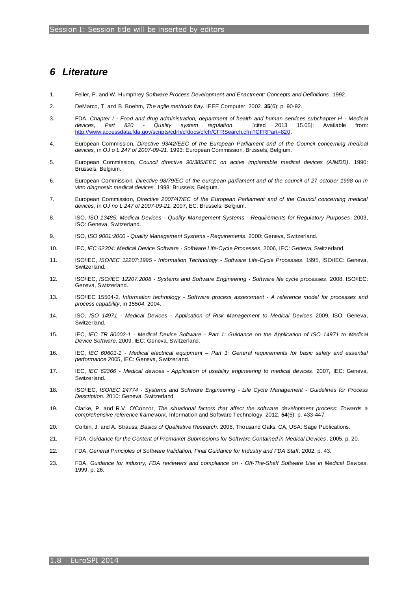### *6 Literature*

- <span id="page-7-0"></span>1. Feiler, P. and W. Humphrey *Software Process Development and Enactment: Concepts and Definitions*. 1992.
- <span id="page-7-1"></span>2. DeMarco, T. and B. Boehm, *The agile methods fray.* IEEE Computer, 2002. **35**(6): p. 90-92.
- <span id="page-7-2"></span>3. FDA. *Chapter I - Food and drug administration, department of health and human services subchapter H - Medical devices, Part 820 - Quality system regulation*. [cited 2013 15.05]; Available from: [http://www.accessdata.fda.gov/scripts/cdrh/cfdocs/cfcfr/CFRSearch.cfm?CFRPart=820.](http://www.accessdata.fda.gov/scripts/cdrh/cfdocs/cfcfr/CFRSearch.cfm?CFRPart=820)
- <span id="page-7-3"></span>4. European Commission, *Directive 93/42/EEC of the European Parliament and of the Council concerning medical devices*, in *OJ o L 247 of 2007-09-21*. 1993: European Commission, Brussels, Belgium.
- <span id="page-7-4"></span>5. European Commission, *Council directive 90/385/EEC on active implantable medical devices (AIMDD)*. 1990: Brussels, Belgium.
- <span id="page-7-5"></span>6. European Commission, *Directive 98/79/EC of the european parliament and of the council of 27 october 1998 on in vitro diagnostic medical devices*. 1998: Brussels, Belgium.
- <span id="page-7-6"></span>7. European Commission, *Directive 2007/47/EC of the European Parliament and of the Council concerning medical devices*, in *OJ no L 247 of 2007-09-21*. 2007, EC: Brussels, Belgium.
- <span id="page-7-7"></span>8. ISO, *ISO 13485: Medical Devices - Quality Management Systems - Requirements for Regulatory Purposes*. 2003, ISO: Geneva, Switzerland.
- <span id="page-7-8"></span>9. ISO, *ISO 9001:2000 - Quality Management Systems - Requirements*. 2000: Geneva, Switzerland.
- <span id="page-7-9"></span>10. IEC, *IEC 62304: Medical Device Software - Software Life-Cycle Processes*. 2006, IEC: Geneva, Switzerland.
- <span id="page-7-10"></span>11. ISO/IEC, *ISO/IEC 12207:1995 - Information Technology - Software Life-Cycle Processes*. 1995, ISO/IEC: Geneva, Switzerland.
- <span id="page-7-11"></span>12. ISO/IEC, *ISO/IEC 12207:2008 - Systems and Software Engineering - Software life cycle processes*. 2008, ISO/IEC: Geneva, Switzerland.
- <span id="page-7-12"></span>13. ISO/IEC 15504-2, *Information technology - Software process assessment - A reference model for processes and process capability*, in *15504*. 2004.
- <span id="page-7-13"></span>14. ISO, *ISO 14971 - Medical Devices - Application of Risk Management to Medical Devices* 2009, ISO: Geneva, Switzerland.
- <span id="page-7-14"></span>15. IEC, *IEC TR 80002-1 - Medical Device Software - Part 1: Guidance on the Application of ISO 14971 to Medical Device Software*. 2009, IEC: Geneva, Switzerland.
- <span id="page-7-15"></span>16. IEC, *IEC 60601-1 - Medical electrical equipment – Part 1: General requirements for basic safety and essential performance* 2005, IEC: Geneva, Switzerland.
- <span id="page-7-16"></span>17. IEC, *IEC 62366 - Medical devices - Application of usability engineering to medical devices*. 2007, IEC: Geneva, Switzerland.
- <span id="page-7-17"></span>18. ISO/IEC, *ISO/IEC 24774 - Systems and Software Engineering - Life Cycle Management - Guidelines for Process Description*. 2010: Geneva, Switzerland.
- <span id="page-7-18"></span>19. Clarke, P. and R.V. O'Connor, *The situational factors that affect the software development process: Towards a comprehensive reference framework.* Information and Software Technology, 2012. **54**(5): p. 433-447.
- <span id="page-7-19"></span>20. Corbin, J. and A. Strauss, *Basics of Qualitative Research*. 2008, Thousand Oaks, CA, USA: Sage Publications.
- <span id="page-7-20"></span>21. FDA, *Guidance for the Content of Premarket Submissions for Software Contained in Medical Devices*. 2005. p. 20.
- <span id="page-7-21"></span>22. FDA, *General Principles of Software Validation; Final Guidance for Industry and FDA Staff*. 2002. p. 43.
- <span id="page-7-22"></span>23. FDA, *Guidance for industry, FDA reviewers and compliance on - Off-The-Shelf Software Use in Medical Devices*. 1999. p. 26.